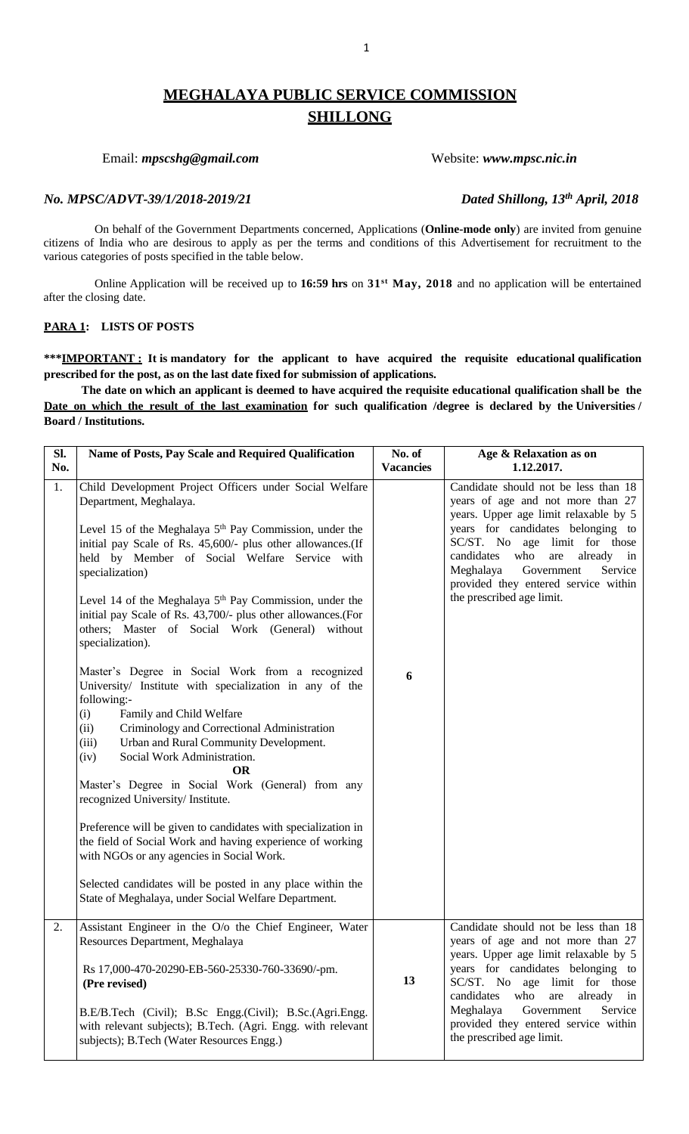# **MEGHALAYA PUBLIC SERVICE COMMISSION SHILLONG**

# Email: *mpscshg@gmail.com* Website: *www.mpsc.nic.in*

# *No. MPSC/ADVT-39/1/2018-2019/21 Dated Shillong, 13th April, 2018*

On behalf of the Government Departments concerned, Applications (**Online-mode only**) are invited from genuine citizens of India who are desirous to apply as per the terms and conditions of this Advertisement for recruitment to the various categories of posts specified in the table below.

Online Application will be received up to **16:59 hrs** on **31st May, 2018** and no application will be entertained after the closing date.

# **PARA 1: LISTS OF POSTS**

**\*\*\*IMPORTANT : It is mandatory for the applicant to have acquired the requisite educational qualification prescribed for the post, as on the last date fixed for submission of applications.**

**The date on which an applicant is deemed to have acquired the requisite educational qualification shall be the Date on which the result of the last examination for such qualification /degree is declared by the Universities / Board / Institutions.**

| SI.<br>No. | Name of Posts, Pay Scale and Required Qualification                                                                                                                                                                                                                                                                                                                                                                                                                                                                                                                                                                                                                                                                    | No. of<br><b>Vacancies</b> | Age & Relaxation as on<br>1.12.2017.                                                                                                                                                                                                                                                                                                                        |
|------------|------------------------------------------------------------------------------------------------------------------------------------------------------------------------------------------------------------------------------------------------------------------------------------------------------------------------------------------------------------------------------------------------------------------------------------------------------------------------------------------------------------------------------------------------------------------------------------------------------------------------------------------------------------------------------------------------------------------------|----------------------------|-------------------------------------------------------------------------------------------------------------------------------------------------------------------------------------------------------------------------------------------------------------------------------------------------------------------------------------------------------------|
| 1.         | Child Development Project Officers under Social Welfare<br>Department, Meghalaya.<br>Level 15 of the Meghalaya $5th$ Pay Commission, under the<br>initial pay Scale of Rs. 45,600/- plus other allowances.(If<br>held by Member of Social Welfare Service with<br>specialization)<br>Level 14 of the Meghalaya $5th$ Pay Commission, under the<br>initial pay Scale of Rs. 43,700/- plus other allowances. (For<br>others; Master of Social Work (General) without<br>specialization).                                                                                                                                                                                                                                 |                            | Candidate should not be less than 18<br>years of age and not more than 27<br>years. Upper age limit relaxable by 5<br>years for candidates belonging to<br>SC/ST. No age limit for those<br>candidates<br>who<br>are<br>already in<br>Meghalaya<br>Government<br>Service<br>provided they entered service within<br>the prescribed age limit.               |
|            | Master's Degree in Social Work from a recognized<br>University/ Institute with specialization in any of the<br>following:-<br>Family and Child Welfare<br>(i)<br>Criminology and Correctional Administration<br>(ii)<br>Urban and Rural Community Development.<br>(iii)<br>Social Work Administration.<br>(iv)<br><b>OR</b><br>Master's Degree in Social Work (General) from any<br>recognized University/ Institute.<br>Preference will be given to candidates with specialization in<br>the field of Social Work and having experience of working<br>with NGOs or any agencies in Social Work.<br>Selected candidates will be posted in any place within the<br>State of Meghalaya, under Social Welfare Department. | 6                          |                                                                                                                                                                                                                                                                                                                                                             |
| 2.         | Assistant Engineer in the O/o the Chief Engineer, Water<br>Resources Department, Meghalaya<br>Rs 17,000-470-20290-EB-560-25330-760-33690/-pm.<br>(Pre revised)<br>B.E/B.Tech (Civil); B.Sc Engg.(Civil); B.Sc.(Agri.Engg.<br>with relevant subjects); B.Tech. (Agri. Engg. with relevant<br>subjects); B.Tech (Water Resources Engg.)                                                                                                                                                                                                                                                                                                                                                                                  | 13                         | Candidate should not be less than 18<br>years of age and not more than 27<br>years. Upper age limit relaxable by 5<br>years for candidates belonging to<br>SC/ST. No age limit for those<br>candidates<br>who<br>are<br>already<br>$\mathbf{in}$<br>Government<br>Meghalaya<br>Service<br>provided they entered service within<br>the prescribed age limit. |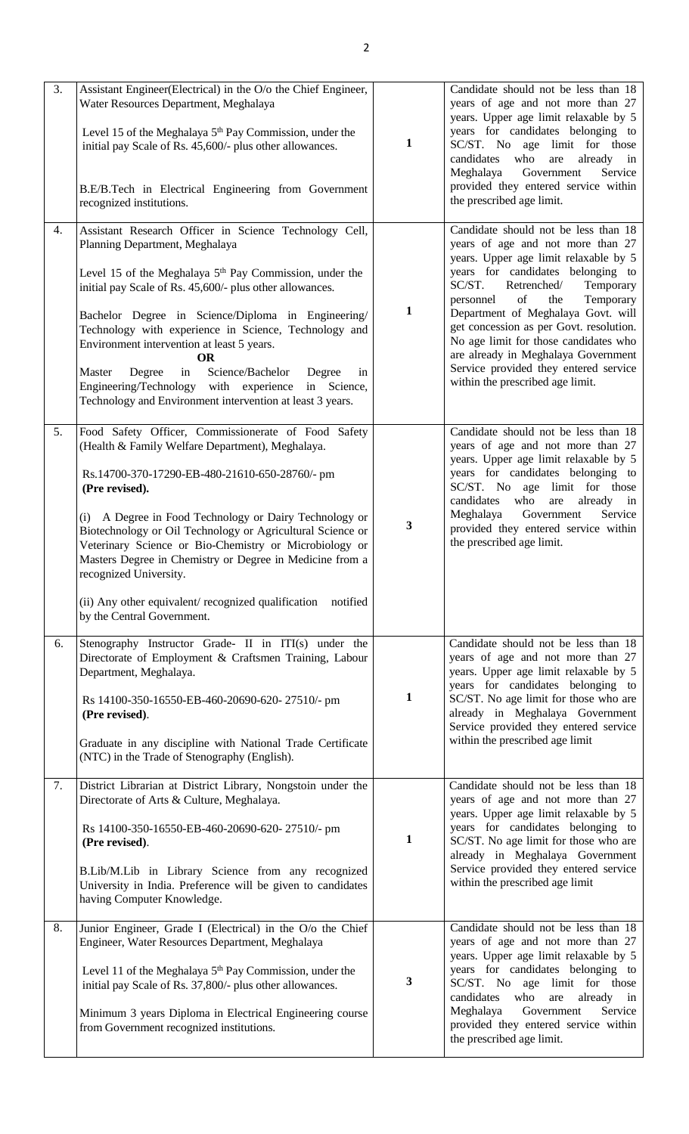| 3. | Assistant Engineer(Electrical) in the O/o the Chief Engineer,<br>Water Resources Department, Meghalaya<br>Level 15 of the Meghalaya 5 <sup>th</sup> Pay Commission, under the<br>initial pay Scale of Rs. 45,600/- plus other allowances.<br>B.E/B.Tech in Electrical Engineering from Government<br>recognized institutions.                                                                                                                                                                                                                                                   | $\mathbf{1}$ | Candidate should not be less than 18<br>years of age and not more than 27<br>years. Upper age limit relaxable by 5<br>years for candidates belonging to<br>SC/ST. No age limit for those<br>candidates<br>who<br>are<br>already in<br>Meghalaya<br>Government<br>Service<br>provided they entered service within<br>the prescribed age limit.                                                                                                                                      |  |
|----|---------------------------------------------------------------------------------------------------------------------------------------------------------------------------------------------------------------------------------------------------------------------------------------------------------------------------------------------------------------------------------------------------------------------------------------------------------------------------------------------------------------------------------------------------------------------------------|--------------|------------------------------------------------------------------------------------------------------------------------------------------------------------------------------------------------------------------------------------------------------------------------------------------------------------------------------------------------------------------------------------------------------------------------------------------------------------------------------------|--|
| 4. | Assistant Research Officer in Science Technology Cell,<br>Planning Department, Meghalaya<br>Level 15 of the Meghalaya $5th$ Pay Commission, under the<br>initial pay Scale of Rs. 45,600/- plus other allowances.<br>Bachelor Degree in Science/Diploma in Engineering/<br>Technology with experience in Science, Technology and<br>Environment intervention at least 5 years.<br><b>OR</b><br>Science/Bachelor<br>Master<br>Degree<br>in<br>Degree<br>in<br>Engineering/Technology with experience<br>in Science,<br>Technology and Environment intervention at least 3 years. | 1            | Candidate should not be less than 18<br>years of age and not more than 27<br>years. Upper age limit relaxable by 5<br>years for candidates belonging to<br>SC/ST.<br>Retrenched/<br>Temporary<br>of<br>Temporary<br>personnel<br>the<br>Department of Meghalaya Govt. will<br>get concession as per Govt. resolution.<br>No age limit for those candidates who<br>are already in Meghalaya Government<br>Service provided they entered service<br>within the prescribed age limit. |  |
| 5. | Food Safety Officer, Commissionerate of Food Safety<br>(Health & Family Welfare Department), Meghalaya.<br>Rs.14700-370-17290-EB-480-21610-650-28760/- pm<br>(Pre revised).<br>A Degree in Food Technology or Dairy Technology or<br>(i)<br>Biotechnology or Oil Technology or Agricultural Science or<br>Veterinary Science or Bio-Chemistry or Microbiology or<br>Masters Degree in Chemistry or Degree in Medicine from a<br>recognized University.<br>(ii) Any other equivalent/recognized qualification notified<br>by the Central Government.                             | 3            | Candidate should not be less than 18<br>years of age and not more than 27<br>years. Upper age limit relaxable by 5<br>years for candidates belonging to<br>SC/ST. No age limit for those<br>candidates<br>who<br>are<br>already<br>$\mathbf{in}$<br>Meghalaya<br>Government<br>Service<br>provided they entered service within<br>the prescribed age limit.                                                                                                                        |  |
| 6. | Stenography Instructor Grade- II in ITI(s) under the<br>Directorate of Employment & Craftsmen Training, Labour<br>Department, Meghalaya.<br>Rs 14100-350-16550-EB-460-20690-620-27510/- pm<br>(Pre revised).<br>Graduate in any discipline with National Trade Certificate<br>(NTC) in the Trade of Stenography (English).                                                                                                                                                                                                                                                      | 1            | Candidate should not be less than 18<br>years of age and not more than 27<br>years. Upper age limit relaxable by 5<br>years for candidates belonging to<br>SC/ST. No age limit for those who are<br>already in Meghalaya Government<br>Service provided they entered service<br>within the prescribed age limit                                                                                                                                                                    |  |
| 7. | District Librarian at District Library, Nongstoin under the<br>Directorate of Arts & Culture, Meghalaya.<br>Rs 14100-350-16550-EB-460-20690-620-27510/- pm<br>(Pre revised).<br>B.Lib/M.Lib in Library Science from any recognized<br>University in India. Preference will be given to candidates<br>having Computer Knowledge.                                                                                                                                                                                                                                                 | $\mathbf{1}$ | Candidate should not be less than 18<br>years of age and not more than 27<br>years. Upper age limit relaxable by 5<br>years for candidates belonging to<br>SC/ST. No age limit for those who are<br>already in Meghalaya Government<br>Service provided they entered service<br>within the prescribed age limit                                                                                                                                                                    |  |
| 8. | Junior Engineer, Grade I (Electrical) in the O/o the Chief<br>Engineer, Water Resources Department, Meghalaya<br>Level 11 of the Meghalaya 5 <sup>th</sup> Pay Commission, under the<br>initial pay Scale of Rs. 37,800/- plus other allowances.<br>Minimum 3 years Diploma in Electrical Engineering course<br>from Government recognized institutions.                                                                                                                                                                                                                        | 3            | Candidate should not be less than 18<br>years of age and not more than 27<br>years. Upper age limit relaxable by 5<br>years for candidates belonging to<br>SC/ST. No age limit for those<br>candidates<br>who<br>already<br>are<br>in<br>Meghalaya<br>Government<br>Service<br>provided they entered service within<br>the prescribed age limit.                                                                                                                                   |  |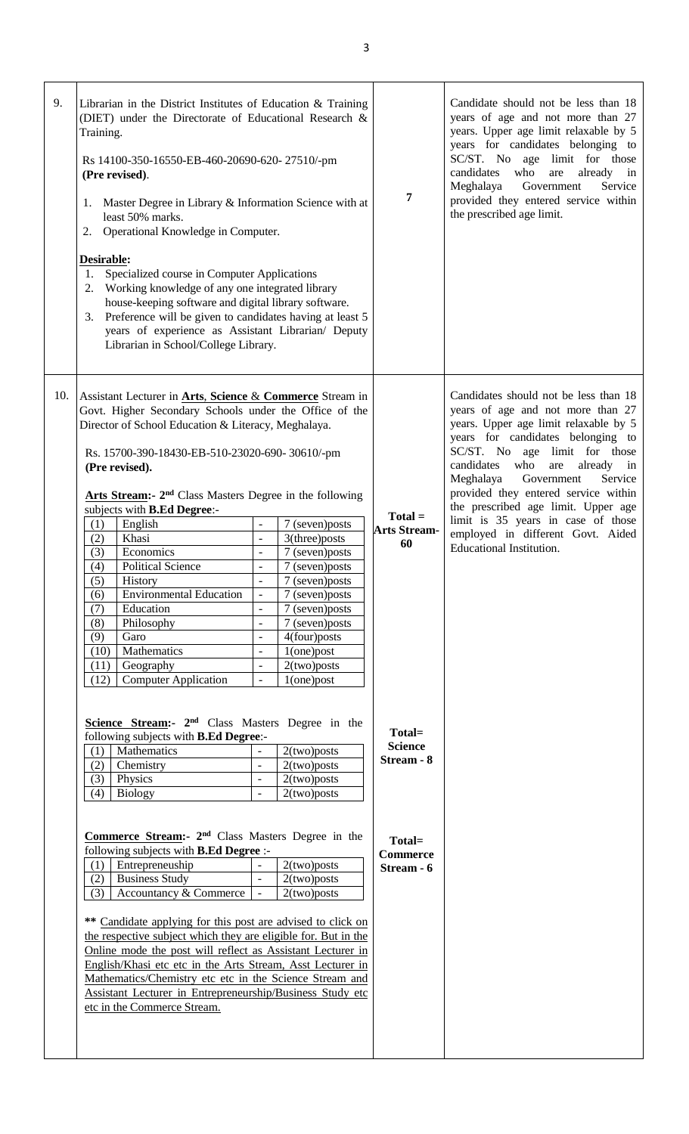| 9.  | Training.<br>1.<br>Desirable:<br>1.<br>2.                                   | Librarian in the District Institutes of Education & Training<br>(DIET) under the Directorate of Educational Research &<br>Rs 14100-350-16550-EB-460-20690-620-27510/-pm<br>(Pre revised).<br>Master Degree in Library & Information Science with at<br>least 50% marks.<br>2. Operational Knowledge in Computer.<br>Specialized course in Computer Applications<br>Working knowledge of any one integrated library<br>house-keeping software and digital library software.<br>3. Preference will be given to candidates having at least 5<br>years of experience as Assistant Librarian/ Deputy<br>Librarian in School/College Library.                                                                                                                                                                         |                                                                                                                                                                                                        |                                                                                                                                                                                                        | 7                                                                                 | Candidate should not be less than 18<br>years of age and not more than 27<br>years. Upper age limit relaxable by 5<br>years for candidates belonging to<br>SC/ST. No age limit for those<br>candidates<br>who<br>already<br>are<br>in<br>Meghalaya<br>Government<br>Service<br>provided they entered service within<br>the prescribed age limit.                                                                                                                   |
|-----|-----------------------------------------------------------------------------|-----------------------------------------------------------------------------------------------------------------------------------------------------------------------------------------------------------------------------------------------------------------------------------------------------------------------------------------------------------------------------------------------------------------------------------------------------------------------------------------------------------------------------------------------------------------------------------------------------------------------------------------------------------------------------------------------------------------------------------------------------------------------------------------------------------------|--------------------------------------------------------------------------------------------------------------------------------------------------------------------------------------------------------|--------------------------------------------------------------------------------------------------------------------------------------------------------------------------------------------------------|-----------------------------------------------------------------------------------|--------------------------------------------------------------------------------------------------------------------------------------------------------------------------------------------------------------------------------------------------------------------------------------------------------------------------------------------------------------------------------------------------------------------------------------------------------------------|
| 10. | (1)<br>(2)<br>(3)<br>(4)<br>(5)<br>(6)<br>(7)<br>(8)<br>(9)<br>(10)<br>(11) | Assistant Lecturer in <b>Arts</b> , Science & Commerce Stream in<br>Govt. Higher Secondary Schools under the Office of the<br>Director of School Education & Literacy, Meghalaya.<br>Rs. 15700-390-18430-EB-510-23020-690-30610/-pm<br>(Pre revised).<br>Arts Stream: 2 <sup>nd</sup> Class Masters Degree in the following<br>subjects with <b>B.Ed Degree</b> :-<br>English<br>Khasi<br>Economics<br><b>Political Science</b><br>History<br><b>Environmental Education</b><br>Education<br>Philosophy<br>Garo<br>Mathematics<br>Geography                                                                                                                                                                                                                                                                     | $\overline{a}$<br>$\overline{\phantom{a}}$<br>$\overline{\phantom{0}}$<br>$\overline{a}$<br>$\overline{a}$<br>$\overline{\phantom{0}}$<br>$\overline{a}$<br>$\overline{a}$<br>$\overline{\phantom{0}}$ | 7 (seven)posts<br>$3$ (three) posts<br>7 (seven) posts<br>7 (seven) posts<br>7 (seven) posts<br>7 (seven) posts<br>7 (seven)posts<br>7 (seven) posts<br>4(four)posts<br>$1$ (one) post<br>2(two) posts | $Total =$<br><b>Arts Stream-</b><br>60                                            | Candidates should not be less than 18<br>years of age and not more than 27<br>years. Upper age limit relaxable by 5<br>years for candidates belonging to<br>SC/ST. No age limit for those<br>candidates<br>who<br>already<br>are<br>in<br>Meghalaya<br>Government<br>Service<br>provided they entered service within<br>the prescribed age limit. Upper age<br>limit is 35 years in case of those<br>employed in different Govt. Aided<br>Educational Institution. |
|     | (12)<br>(1)<br>(2)<br>(3)<br>(4)<br>(1)<br>(2)<br>(3)                       | <b>Computer Application</b><br>Science Stream:- 2 <sup>nd</sup> Class Masters Degree in the<br>following subjects with <b>B.Ed Degree:-</b><br>Mathematics<br>Chemistry<br>Physics<br><b>Biology</b><br>Commerce Stream: 2 <sup>nd</sup> Class Masters Degree in the<br>following subjects with <b>B.Ed Degree</b> :-<br>Entrepreneuship<br><b>Business Study</b><br>Accountancy & Commerce<br>** Candidate applying for this post are advised to click on<br>the respective subject which they are eligible for. But in the<br>Online mode the post will reflect as Assistant Lecturer in<br>English/Khasi etc etc in the Arts Stream, Asst Lecturer in<br>Mathematics/Chemistry etc etc in the Science Stream and<br>Assistant Lecturer in Entrepreneurship/Business Study etc<br>etc in the Commerce Stream. | $\overline{a}$<br>$\overline{\phantom{a}}$<br>$\blacksquare$<br>$\overline{\phantom{a}}$<br>$\overline{\phantom{a}}$                                                                                   | $1$ (one) post<br>2(two) posts<br>2(two) posts<br>2(two) posts<br>2(two) posts<br>2(two) posts<br>2(two) posts<br>2(two) posts                                                                         | Total=<br><b>Science</b><br>Stream - 8<br>Total=<br><b>Commerce</b><br>Stream - 6 |                                                                                                                                                                                                                                                                                                                                                                                                                                                                    |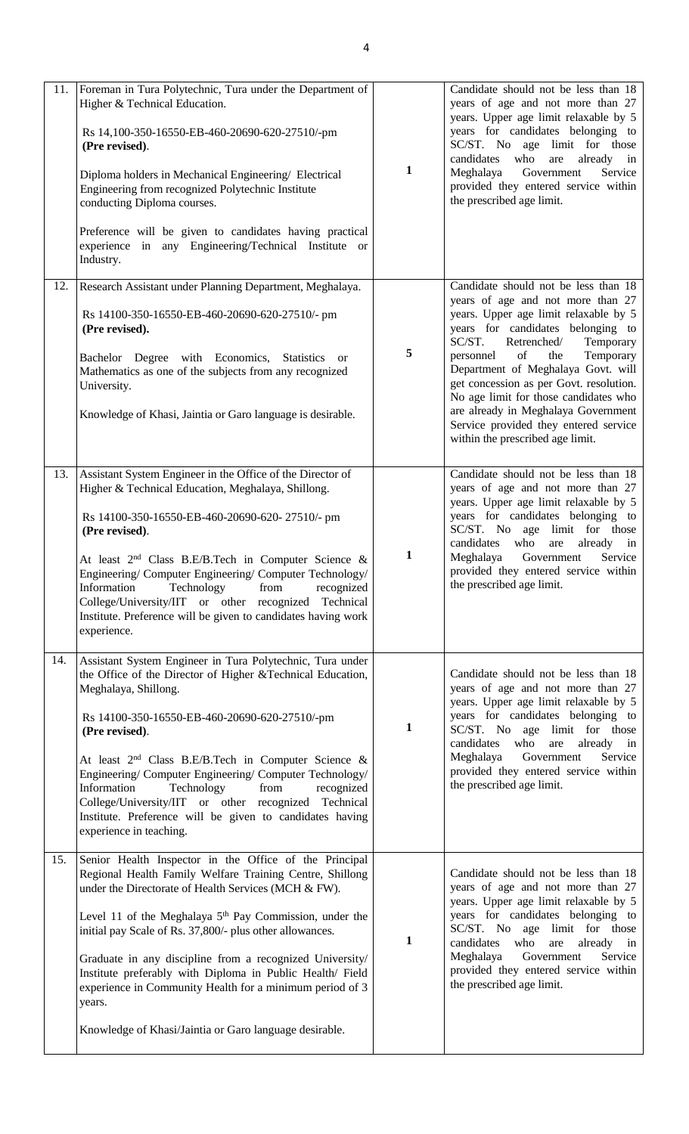| 11.        | Foreman in Tura Polytechnic, Tura under the Department of<br>Higher & Technical Education.<br>Rs 14,100-350-16550-EB-460-20690-620-27510/-pm<br>(Pre revised).<br>Diploma holders in Mechanical Engineering/ Electrical<br>Engineering from recognized Polytechnic Institute<br>conducting Diploma courses.<br>Preference will be given to candidates having practical<br>experience in any Engineering/Technical Institute or<br>Industry.                                                                                                                  | $\mathbf{1}$ | Candidate should not be less than 18<br>years of age and not more than 27<br>years. Upper age limit relaxable by 5<br>years for candidates belonging to<br>SC/ST. No age limit for those<br>candidates<br>who<br>are<br>already in<br>Meghalaya<br>Government<br>Service<br>provided they entered service within<br>the prescribed age limit.                                                                                                                                                                              |
|------------|--------------------------------------------------------------------------------------------------------------------------------------------------------------------------------------------------------------------------------------------------------------------------------------------------------------------------------------------------------------------------------------------------------------------------------------------------------------------------------------------------------------------------------------------------------------|--------------|----------------------------------------------------------------------------------------------------------------------------------------------------------------------------------------------------------------------------------------------------------------------------------------------------------------------------------------------------------------------------------------------------------------------------------------------------------------------------------------------------------------------------|
| 12.<br>13. | Research Assistant under Planning Department, Meghalaya.<br>Rs 14100-350-16550-EB-460-20690-620-27510/- pm<br>(Pre revised).<br>Bachelor Degree with Economics,<br><b>Statistics</b><br><sub>or</sub><br>Mathematics as one of the subjects from any recognized<br>University.<br>Knowledge of Khasi, Jaintia or Garo language is desirable.<br>Assistant System Engineer in the Office of the Director of                                                                                                                                                   | 5            | Candidate should not be less than 18<br>years of age and not more than 27<br>years. Upper age limit relaxable by 5<br>years for candidates belonging to<br>SC/ST.<br>Temporary<br>Retrenched/<br>of<br>the<br>Temporary<br>personnel<br>Department of Meghalaya Govt. will<br>get concession as per Govt. resolution.<br>No age limit for those candidates who<br>are already in Meghalaya Government<br>Service provided they entered service<br>within the prescribed age limit.<br>Candidate should not be less than 18 |
|            | Higher & Technical Education, Meghalaya, Shillong.<br>Rs 14100-350-16550-EB-460-20690-620-27510/- pm<br>(Pre revised).<br>At least $2nd$ Class B.E/B.Tech in Computer Science &<br>Engineering/ Computer Engineering/ Computer Technology/<br>Technology<br>Information<br>from<br>recognized<br>College/University/IIT or other recognized Technical<br>Institute. Preference will be given to candidates having work<br>experience.                                                                                                                        | $\mathbf{1}$ | years of age and not more than 27<br>years. Upper age limit relaxable by 5<br>years for candidates belonging to<br>SC/ST. No age limit for those<br>who<br>candidates<br>are<br>already in<br>Meghalaya<br>Government<br>Service<br>provided they entered service within<br>the prescribed age limit.                                                                                                                                                                                                                      |
| 14.        | Assistant System Engineer in Tura Polytechnic, Tura under<br>the Office of the Director of Higher & Technical Education,<br>Meghalaya, Shillong.<br>Rs 14100-350-16550-EB-460-20690-620-27510/-pm<br>(Pre revised).<br>At least $2nd$ Class B.E/B.Tech in Computer Science &<br>Engineering/ Computer Engineering/ Computer Technology/<br>Technology<br>Information<br>from<br>recognized<br>College/University/IIT or other recognized Technical<br>Institute. Preference will be given to candidates having<br>experience in teaching.                    | $\mathbf{1}$ | Candidate should not be less than 18<br>years of age and not more than 27<br>years. Upper age limit relaxable by 5<br>years for candidates belonging to<br>SC/ST. No age limit for those<br>candidates<br>who<br>already<br>are<br>in<br>Government<br>Service<br>Meghalaya<br>provided they entered service within<br>the prescribed age limit.                                                                                                                                                                           |
| 15.        | Senior Health Inspector in the Office of the Principal<br>Regional Health Family Welfare Training Centre, Shillong<br>under the Directorate of Health Services (MCH & FW).<br>Level 11 of the Meghalaya $5th$ Pay Commission, under the<br>initial pay Scale of Rs. 37,800/- plus other allowances.<br>Graduate in any discipline from a recognized University/<br>Institute preferably with Diploma in Public Health/ Field<br>experience in Community Health for a minimum period of 3<br>years.<br>Knowledge of Khasi/Jaintia or Garo language desirable. | 1            | Candidate should not be less than 18<br>years of age and not more than 27<br>years. Upper age limit relaxable by 5<br>years for candidates belonging to<br>SC/ST. No age limit for those<br>who<br>candidates<br>are<br>already in<br>Meghalaya<br>Government<br>Service<br>provided they entered service within<br>the prescribed age limit.                                                                                                                                                                              |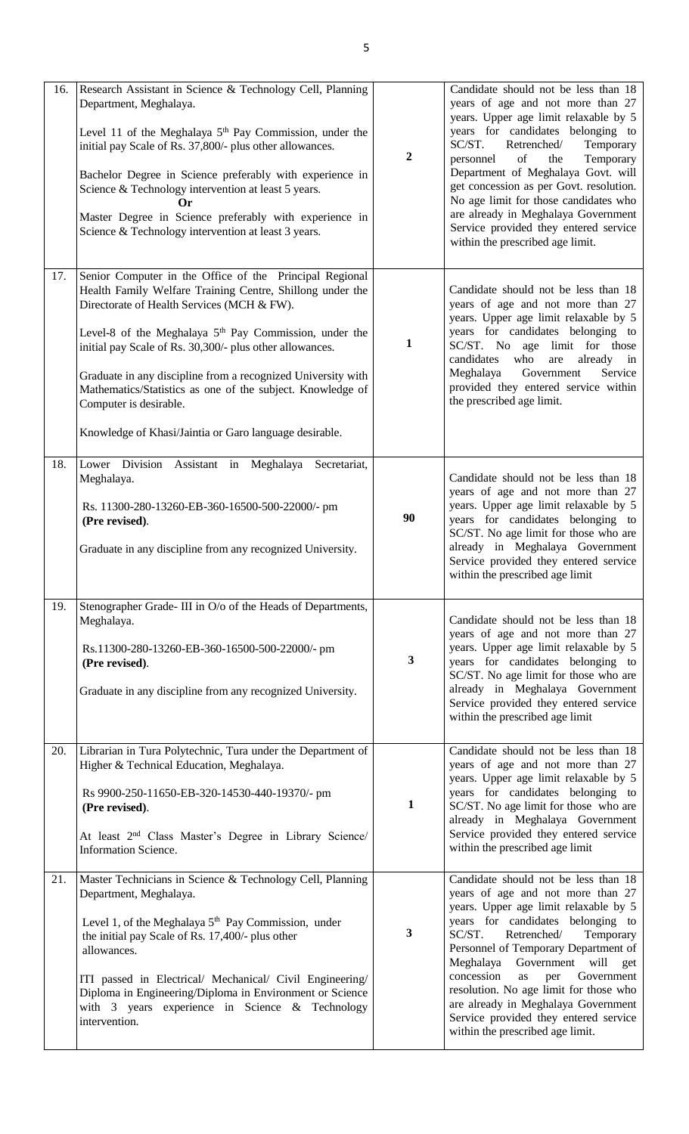| 16. | Research Assistant in Science & Technology Cell, Planning<br>Department, Meghalaya.<br>Level 11 of the Meghalaya $5th$ Pay Commission, under the<br>initial pay Scale of Rs. 37,800/- plus other allowances.<br>Bachelor Degree in Science preferably with experience in<br>Science & Technology intervention at least 5 years.<br>Or<br>Master Degree in Science preferably with experience in<br>Science & Technology intervention at least 3 years.                                                                 | $\boldsymbol{2}$ | Candidate should not be less than 18<br>years of age and not more than 27<br>years. Upper age limit relaxable by 5<br>years for candidates belonging to<br>SC/ST.<br>Retrenched/<br>Temporary<br>of<br>Temporary<br>the<br>personnel<br>Department of Meghalaya Govt. will<br>get concession as per Govt. resolution.<br>No age limit for those candidates who<br>are already in Meghalaya Government<br>Service provided they entered service<br>within the prescribed age limit.  |  |
|-----|------------------------------------------------------------------------------------------------------------------------------------------------------------------------------------------------------------------------------------------------------------------------------------------------------------------------------------------------------------------------------------------------------------------------------------------------------------------------------------------------------------------------|------------------|-------------------------------------------------------------------------------------------------------------------------------------------------------------------------------------------------------------------------------------------------------------------------------------------------------------------------------------------------------------------------------------------------------------------------------------------------------------------------------------|--|
| 17. | Senior Computer in the Office of the Principal Regional<br>Health Family Welfare Training Centre, Shillong under the<br>Directorate of Health Services (MCH & FW).<br>Level-8 of the Meghalaya 5 <sup>th</sup> Pay Commission, under the<br>initial pay Scale of Rs. 30,300/- plus other allowances.<br>Graduate in any discipline from a recognized University with<br>Mathematics/Statistics as one of the subject. Knowledge of<br>Computer is desirable.<br>Knowledge of Khasi/Jaintia or Garo language desirable. | 1                | Candidate should not be less than 18<br>years of age and not more than 27<br>years. Upper age limit relaxable by 5<br>years for candidates belonging to<br>SC/ST. No age limit for those<br>who<br>already in<br>candidates<br>are<br>Meghalaya<br>Government<br>Service<br>provided they entered service within<br>the prescribed age limit.                                                                                                                                       |  |
| 18. | Lower Division<br>Assistant in Meghalaya<br>Secretariat,<br>Meghalaya.<br>Rs. 11300-280-13260-EB-360-16500-500-22000/- pm<br>(Pre revised).<br>Graduate in any discipline from any recognized University.                                                                                                                                                                                                                                                                                                              | 90               | Candidate should not be less than 18<br>years of age and not more than 27<br>years. Upper age limit relaxable by 5<br>years for candidates belonging to<br>SC/ST. No age limit for those who are<br>already in Meghalaya Government<br>Service provided they entered service<br>within the prescribed age limit                                                                                                                                                                     |  |
| 19. | Stenographer Grade- III in O/o of the Heads of Departments,<br>Meghalaya.<br>Rs.11300-280-13260-EB-360-16500-500-22000/- pm<br>(Pre revised).<br>Graduate in any discipline from any recognized University.                                                                                                                                                                                                                                                                                                            | $\mathbf{3}$     | Candidate should not be less than 18<br>years of age and not more than 27<br>years. Upper age limit relaxable by 5<br>years for candidates belonging to<br>SC/ST. No age limit for those who are<br>already in Meghalaya Government<br>Service provided they entered service<br>within the prescribed age limit                                                                                                                                                                     |  |
| 20. | Librarian in Tura Polytechnic, Tura under the Department of<br>Higher & Technical Education, Meghalaya.<br>Rs 9900-250-11650-EB-320-14530-440-19370/- pm<br>(Pre revised).<br>At least 2 <sup>nd</sup> Class Master's Degree in Library Science/<br>Information Science.                                                                                                                                                                                                                                               | 1                | Candidate should not be less than 18<br>years of age and not more than 27<br>years. Upper age limit relaxable by 5<br>years for candidates belonging to<br>SC/ST. No age limit for those who are<br>already in Meghalaya Government<br>Service provided they entered service<br>within the prescribed age limit                                                                                                                                                                     |  |
| 21. | Master Technicians in Science & Technology Cell, Planning<br>Department, Meghalaya.<br>Level 1, of the Meghalaya $5th$ Pay Commission, under<br>the initial pay Scale of Rs. 17,400/- plus other<br>allowances.<br>ITI passed in Electrical/ Mechanical/ Civil Engineering/<br>Diploma in Engineering/Diploma in Environment or Science<br>with $3$ years experience in Science & Technology<br>intervention.                                                                                                          | $\mathbf{3}$     | Candidate should not be less than 18<br>years of age and not more than 27<br>years. Upper age limit relaxable by 5<br>years for candidates belonging to<br>SC/ST.<br>Retrenched/<br>Temporary<br>Personnel of Temporary Department of<br>Meghalaya Government<br>will<br>get<br>concession<br>as<br>Government<br>per<br>resolution. No age limit for those who<br>are already in Meghalaya Government<br>Service provided they entered service<br>within the prescribed age limit. |  |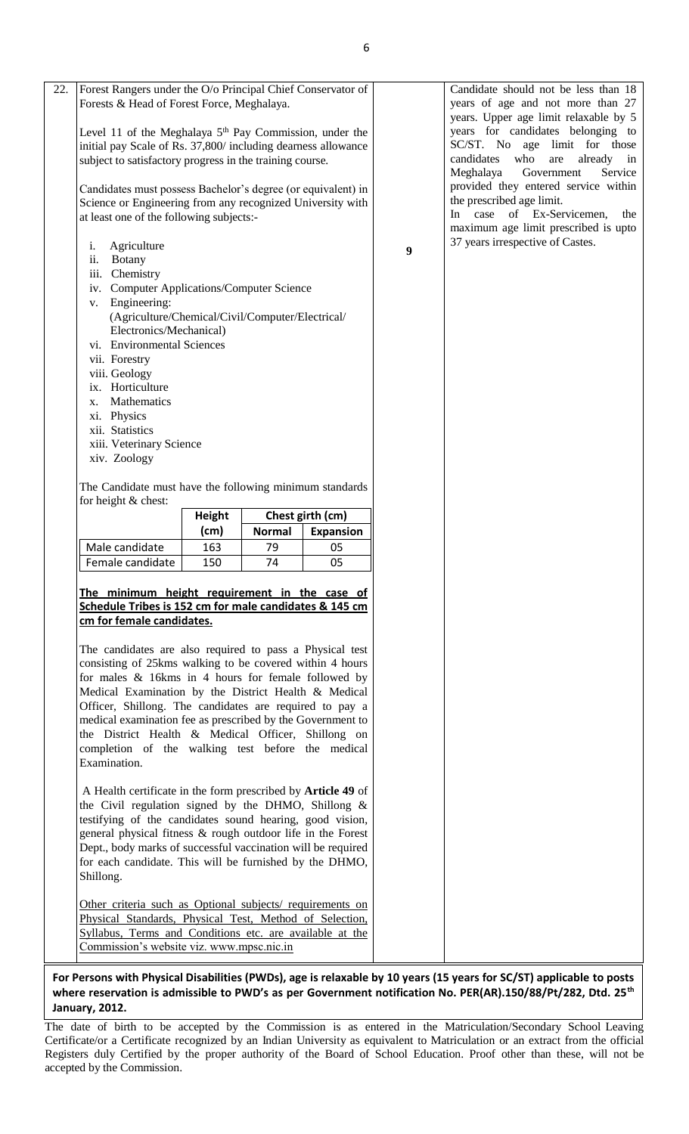| Forest Rangers under the O/o Principal Chief Conservator of<br>Forests & Head of Forest Force, Meghalaya.                 |               |               |                  |   |
|---------------------------------------------------------------------------------------------------------------------------|---------------|---------------|------------------|---|
|                                                                                                                           |               |               |                  |   |
| Level 11 of the Meghalaya $5th$ Pay Commission, under the                                                                 |               |               |                  |   |
| initial pay Scale of Rs. 37,800/ including dearness allowance<br>subject to satisfactory progress in the training course. |               |               |                  |   |
|                                                                                                                           |               |               |                  |   |
| Candidates must possess Bachelor's degree (or equivalent) in                                                              |               |               |                  |   |
| Science or Engineering from any recognized University with                                                                |               |               |                  |   |
| at least one of the following subjects:-                                                                                  |               |               |                  |   |
| i. Agriculture                                                                                                            |               |               |                  | 9 |
| ii. Botany                                                                                                                |               |               |                  |   |
| iii. Chemistry<br>iv. Computer Applications/Computer Science                                                              |               |               |                  |   |
| v. Engineering:                                                                                                           |               |               |                  |   |
| (Agriculture/Chemical/Civil/Computer/Electrical/                                                                          |               |               |                  |   |
| Electronics/Mechanical)                                                                                                   |               |               |                  |   |
| vi. Environmental Sciences                                                                                                |               |               |                  |   |
| vii. Forestry<br>viii. Geology                                                                                            |               |               |                  |   |
| ix. Horticulture                                                                                                          |               |               |                  |   |
| x. Mathematics                                                                                                            |               |               |                  |   |
| xi. Physics                                                                                                               |               |               |                  |   |
| xii. Statistics<br>xiii. Veterinary Science                                                                               |               |               |                  |   |
| xiv. Zoology                                                                                                              |               |               |                  |   |
| The Candidate must have the following minimum standards<br>for height & chest:                                            |               |               |                  |   |
|                                                                                                                           | <b>Height</b> |               | Chest girth (cm) |   |
|                                                                                                                           | (cm)          | <b>Normal</b> | <b>Expansion</b> |   |
| Male candidate                                                                                                            | 163           | 79            | 05               |   |
| Female candidate                                                                                                          | 150           | 74            | 05               |   |
| The minimum height requirement in the case of<br>Schedule Tribes is 152 cm for male candidates & 145 cm                   |               |               |                  |   |
| cm for female candidates.                                                                                                 |               |               |                  |   |
|                                                                                                                           |               |               |                  |   |
| The candidates are also required to pass a Physical test<br>consisting of 25kms walking to be covered within 4 hours      |               |               |                  |   |
| for males & 16kms in 4 hours for female followed by                                                                       |               |               |                  |   |
| Medical Examination by the District Health & Medical                                                                      |               |               |                  |   |
| Officer, Shillong. The candidates are required to pay a                                                                   |               |               |                  |   |
| medical examination fee as prescribed by the Government to<br>the District Health & Medical Officer, Shillong on          |               |               |                  |   |
| completion of the walking test before the medical                                                                         |               |               |                  |   |
| Examination.                                                                                                              |               |               |                  |   |
| A Health certificate in the form prescribed by <b>Article 49</b> of                                                       |               |               |                  |   |
| the Civil regulation signed by the DHMO, Shillong $\&$                                                                    |               |               |                  |   |
| testifying of the candidates sound hearing, good vision,                                                                  |               |               |                  |   |
| general physical fitness & rough outdoor life in the Forest                                                               |               |               |                  |   |
| Dept., body marks of successful vaccination will be required<br>for each candidate. This will be furnished by the DHMO,   |               |               |                  |   |
| Shillong.                                                                                                                 |               |               |                  |   |
|                                                                                                                           |               |               |                  |   |
| Other criteria such as Optional subjects/ requirements on                                                                 |               |               |                  |   |
| Physical Standards, Physical Test, Method of Selection,<br>Syllabus, Terms and Conditions etc. are available at the       |               |               |                  |   |

**For Persons with Physical Disabilities (PWDs), age is relaxable by 10 years (15 years for SC/ST) applicable to posts where reservation is admissible to PWD's as per Government notification No. PER(AR).150/88/Pt/282, Dtd. 25th January, 2012.**

**PARA 3: FEE (Inclusive of Examination Fee) Non-Refundable** accepted by the Commission. The date of birth to be accepted by the Commission is as entered in the Matriculation/Secondary School Leaving Certificate/or a Certificate recognized by an Indian University as equivalent to Matriculation or an extract from the official Registers duly Certified by the proper authority of the Board of School Education. Proof other than these, will not be

Candidate should not be less than 18 years of age and not more than 27 years. Upper age limit relaxable by 5 years for candidates belonging to SC/ST. No age limit for those candidates who are already in Meghalaya Government Service provided they entered service within the prescribed age limit.

In case of Ex-Servicemen, the maximum age limit prescribed is upto 37 years irrespective of Castes.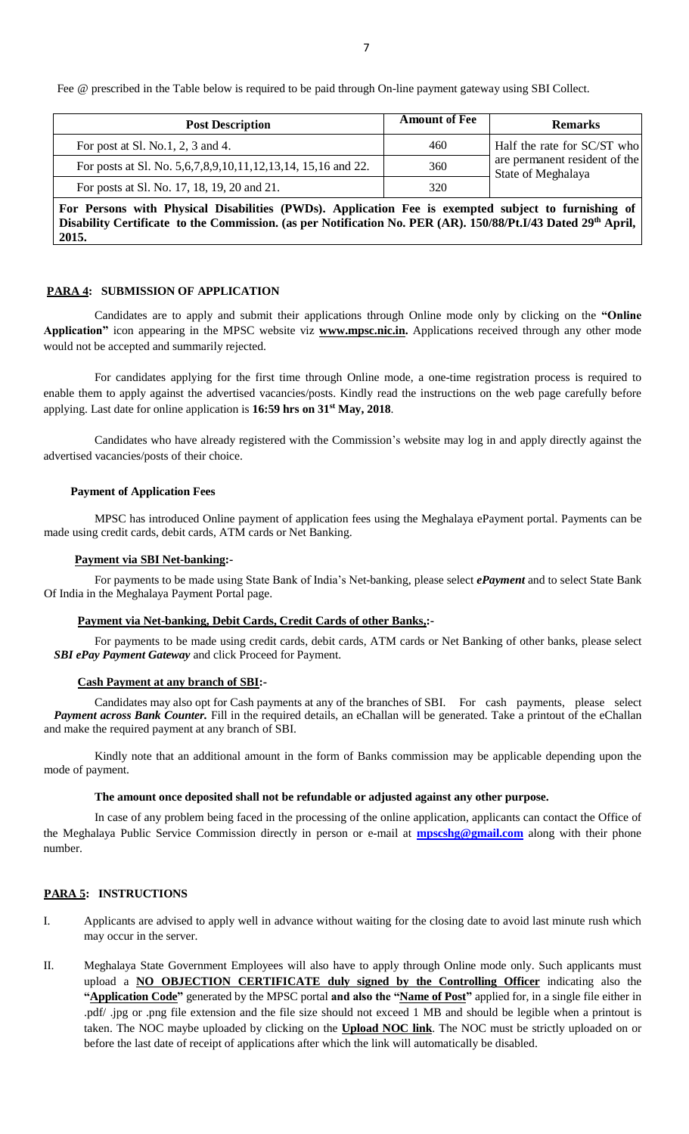Fee @ prescribed in the Table below is required to be paid through On-line payment gateway using SBI Collect.

| <b>Post Description</b>                                                                                                                                                                                                                   | <b>Amount of Fee</b> | <b>Remarks</b>                                      |  |  |  |
|-------------------------------------------------------------------------------------------------------------------------------------------------------------------------------------------------------------------------------------------|----------------------|-----------------------------------------------------|--|--|--|
| For post at Sl. No.1, 2, 3 and 4.                                                                                                                                                                                                         | 460                  | Half the rate for SC/ST who                         |  |  |  |
| For posts at Sl. No. 5, 6, 7, 8, 9, 10, 11, 12, 13, 14, 15, 16 and 22.                                                                                                                                                                    | 360                  | are permanent resident of the<br>State of Meghalaya |  |  |  |
| For posts at Sl. No. 17, 18, 19, 20 and 21.                                                                                                                                                                                               | 320                  |                                                     |  |  |  |
| For Persons with Physical Disabilities (PWDs). Application Fee is exempted subject to furnishing of<br>Disability Certificate to the Commission. (as per Notification No. PER (AR). 150/88/Pt.I/43 Dated 29 <sup>th</sup> April,<br>2015. |                      |                                                     |  |  |  |

#### **PARA 4: SUBMISSION OF APPLICATION**

 Candidates are to apply and submit their applications through Online mode only by clicking on the **"Online Application"** icon appearing in the MPSC website viz **www.mpsc.nic.in.** Applications received through any other mode would not be accepted and summarily rejected.

For candidates applying for the first time through Online mode, a one-time registration process is required to enable them to apply against the advertised vacancies/posts. Kindly read the instructions on the web page carefully before applying. Last date for online application is **16:59 hrs on 31st May, 2018**.

 Candidates who have already registered with the Commission's website may log in and apply directly against the advertised vacancies/posts of their choice.

### **Payment of Application Fees**

 MPSC has introduced Online payment of application fees using the Meghalaya ePayment portal. Payments can be made using credit cards, debit cards, ATM cards or Net Banking.

## **Payment via SBI Net-banking:-**

For payments to be made using State Bank of India's Net-banking, please select *ePayment* and to select State Bank Of India in the Meghalaya Payment Portal page.

# **Payment via Net-banking, Debit Cards, Credit Cards of other Banks,:-**

For payments to be made using credit cards, debit cards, ATM cards or Net Banking of other banks, please select *SBI ePay Payment Gateway* and click Proceed for Payment.

#### **Cash Payment at any branch of SBI:-**

Candidates may also opt for Cash payments at any of the branches of SBI. For cash payments, please select *Payment across Bank Counter.* Fill in the required details, an eChallan will be generated. Take a printout of the eChallan and make the required payment at any branch of SBI.

Kindly note that an additional amount in the form of Banks commission may be applicable depending upon the mode of payment.

#### **The amount once deposited shall not be refundable or adjusted against any other purpose.**

 In case of any problem being faced in the processing of the online application, applicants can contact the Office of the Meghalaya Public Service Commission directly in person or e-mail at **[mpscshg@gmail.com](mailto:mpscshg@gmail.com)** along with their phone number.

# **PARA 5: INSTRUCTIONS**

- I. Applicants are advised to apply well in advance without waiting for the closing date to avoid last minute rush which may occur in the server.
- II. Meghalaya State Government Employees will also have to apply through Online mode only. Such applicants must upload a **NO OBJECTION CERTIFICATE duly signed by the Controlling Officer** indicating also the **"Application Code"** generated by the MPSC portal **and also the "Name of Post"** applied for, in a single file either in .pdf/ .jpg or .png file extension and the file size should not exceed 1 MB and should be legible when a printout is taken. The NOC maybe uploaded by clicking on the **Upload NOC link**. The NOC must be strictly uploaded on or before the last date of receipt of applications after which the link will automatically be disabled.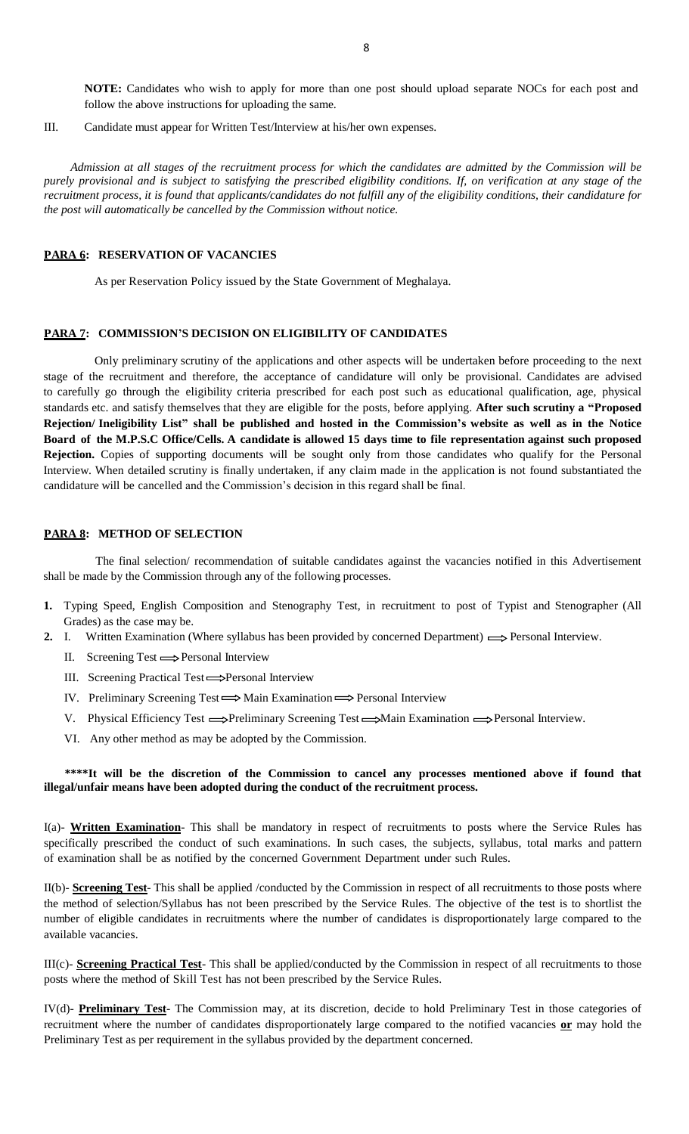**NOTE:** Candidates who wish to apply for more than one post should upload separate NOCs for each post and follow the above instructions for uploading the same.

III. Candidate must appear for Written Test/Interview at his/her own expenses.

 *Admission at all stages of the recruitment process for which the candidates are admitted by the Commission will be purely provisional and is subject to satisfying the prescribed eligibility conditions. If, on verification at any stage of the recruitment process, it is found that applicants/candidates do not fulfill any of the eligibility conditions, their candidature for the post will automatically be cancelled by the Commission without notice.*

# **PARA 6: RESERVATION OF VACANCIES**

As per Reservation Policy issued by the State Government of Meghalaya.

# **PARA 7: COMMISSION'S DECISION ON ELIGIBILITY OF CANDIDATES**

Only preliminary scrutiny of the applications and other aspects will be undertaken before proceeding to the next stage of the recruitment and therefore, the acceptance of candidature will only be provisional. Candidates are advised to carefully go through the eligibility criteria prescribed for each post such as educational qualification, age, physical standards etc. and satisfy themselves that they are eligible for the posts, before applying. **After such scrutiny a "Proposed** Rejection/Ineligibility List" shall be published and hosted in the Commission's website as well as in the Notice Board of the M.P.S.C Office/Cells. A candidate is allowed 15 days time to file representation against such proposed **Rejection.** Copies of supporting documents will be sought only from those candidates who qualify for the Personal Interview. When detailed scrutiny is finally undertaken, if any claim made in the application is not found substantiated the candidature will be cancelled and the Commission's decision in this regard shall be final.

## **PARA 8: METHOD OF SELECTION**

 The final selection/ recommendation of suitable candidates against the vacancies notified in this Advertisement shall be made by the Commission through any of the following processes.

- **1.** Typing Speed, English Composition and Stenography Test, in recruitment to post of Typist and Stenographer (All Grades) as the case may be.
- **2.** I. Written Examination (Where syllabus has been provided by concerned Department)  $\implies$  Personal Interview.
	- II. Screening Test  $\Longrightarrow$  Personal Interview
	- III. Screening Practical Test 
	Screening Practical Test  $\Rightarrow$  Personal Interview
	- IV. Preliminary Screening Test  $\Longrightarrow$  Main Examination  $\Longrightarrow$  Personal Interview
	- V. Physical Efficiency Test  $\Longrightarrow$ Preliminary Screening Test  $\Longrightarrow$ Main Examination  $\Longrightarrow$ Personal Interview.
	- VI. Any other method as may be adopted by the Commission.

# **\*\*\*\*It will be the discretion of the Commission to cancel any processes mentioned above if found that illegal/unfair means have been adopted during the conduct of the recruitment process.**

I(a)- **Written Examination**- This shall be mandatory in respect of recruitments to posts where the Service Rules has specifically prescribed the conduct of such examinations. In such cases, the subjects, syllabus, total marks and pattern of examination shall be as notified by the concerned Government Department under such Rules.

II(b)- **Screening Test**- This shall be applied /conducted by the Commission in respect of all recruitments to those posts where the method of selection/Syllabus has not been prescribed by the Service Rules. The objective of the test is to shortlist the number of eligible candidates in recruitments where the number of candidates is disproportionately large compared to the available vacancies.

III(c)- **Screening Practical Test**- This shall be applied/conducted by the Commission in respect of all recruitments to those posts where the method of Skill Test has not been prescribed by the Service Rules.

IV(d)- **Preliminary Test**- The Commission may, at its discretion, decide to hold Preliminary Test in those categories of recruitment where the number of candidates disproportionately large compared to the notified vacancies **or** may hold the Preliminary Test as per requirement in the syllabus provided by the department concerned.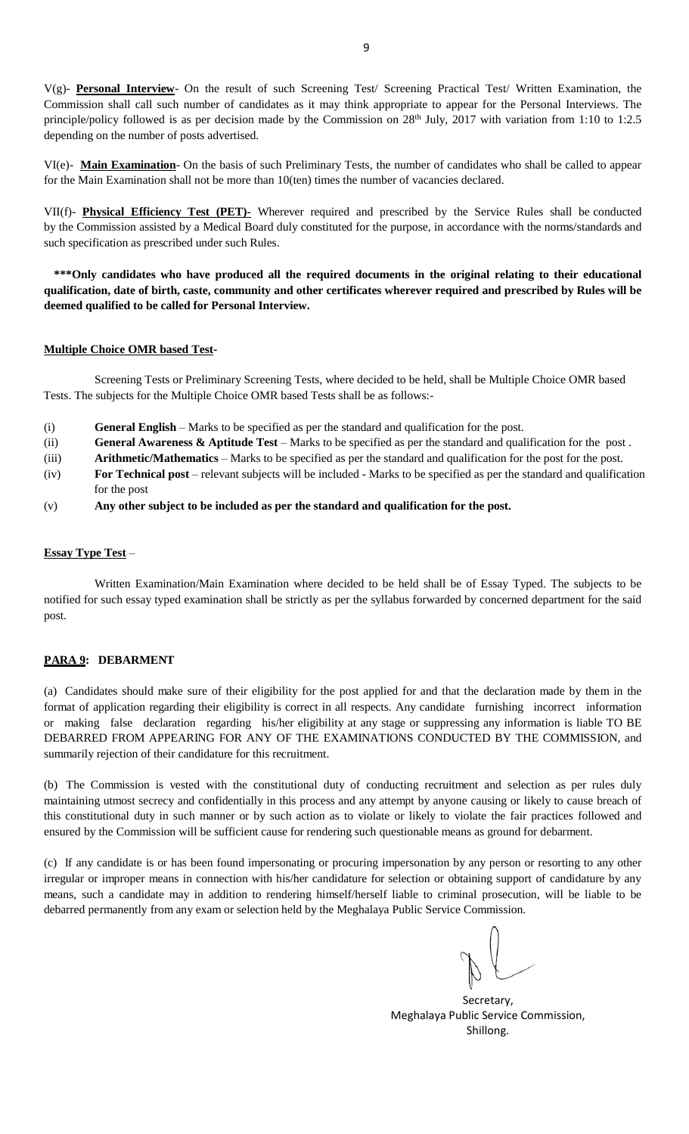V(g)- **Personal Interview**- On the result of such Screening Test/ Screening Practical Test/ Written Examination, the Commission shall call such number of candidates as it may think appropriate to appear for the Personal Interviews. The principle/policy followed is as per decision made by the Commission on 28<sup>th</sup> July, 2017 with variation from 1:10 to 1:2.5 depending on the number of posts advertised.

VI(e)- **Main Examination**- On the basis of such Preliminary Tests, the number of candidates who shall be called to appear for the Main Examination shall not be more than 10(ten) times the number of vacancies declared.

VII(f)- **Physical Efficiency Test (PET)-** Wherever required and prescribed by the Service Rules shall be conducted by the Commission assisted by a Medical Board duly constituted for the purpose, in accordance with the norms/standards and such specification as prescribed under such Rules.

**\*\*\*Only candidates who have produced all the required documents in the original relating to their educational qualification, date of birth, caste, community and other certificates wherever required and prescribed by Rules will be deemed qualified to be called for Personal Interview.**

## **Multiple Choice OMR based Test-**

Screening Tests or Preliminary Screening Tests, where decided to be held, shall be Multiple Choice OMR based Tests. The subjects for the Multiple Choice OMR based Tests shall be as follows:-

- (i) **General English** Marks to be specified as per the standard and qualification for the post.
- (ii) **General Awareness & Aptitude Test** Marks to be specified as per the standard and qualification for the post .
- (iii) **Arithmetic/Mathematics** Marks to be specified as per the standard and qualification for the post for the post.
- (iv) **For Technical post** relevant subjects will be included Marks to be specified as per the standard and qualification for the post
- (v) **Any other subject to be included as per the standard and qualification for the post.**

# **Essay Type Test** –

Written Examination/Main Examination where decided to be held shall be of Essay Typed. The subjects to be notified for such essay typed examination shall be strictly as per the syllabus forwarded by concerned department for the said post.

## **PARA 9: DEBARMENT**

(a) Candidates should make sure of their eligibility for the post applied for and that the declaration made by them in the format of application regarding their eligibility is correct in all respects. Any candidate furnishing incorrect information or making false declaration regarding his/her eligibility at any stage or suppressing any information is liable TO BE DEBARRED FROM APPEARING FOR ANY OF THE EXAMINATIONS CONDUCTED BY THE COMMISSION, and summarily rejection of their candidature for this recruitment.

(b) The Commission is vested with the constitutional duty of conducting recruitment and selection as per rules duly maintaining utmost secrecy and confidentially in this process and any attempt by anyone causing or likely to cause breach of this constitutional duty in such manner or by such action as to violate or likely to violate the fair practices followed and ensured by the Commission will be sufficient cause for rendering such questionable means as ground for debarment.

(c) If any candidate is or has been found impersonating or procuring impersonation by any person or resorting to any other irregular or improper means in connection with his/her candidature for selection or obtaining support of candidature by any means, such a candidate may in addition to rendering himself/herself liable to criminal prosecution, will be liable to be debarred permanently from any exam or selection held by the Meghalaya Public Service Commission.

Secretary, Meghalaya Public Service Commission, Shillong.